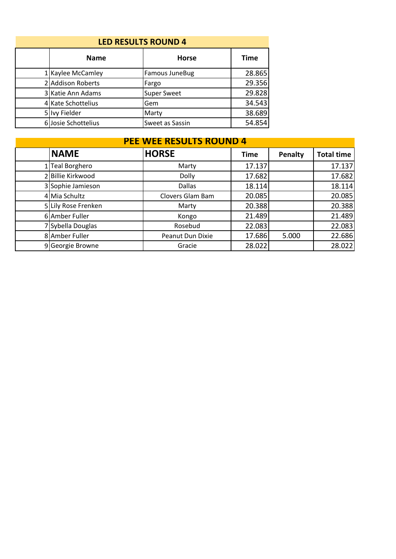| <b>LED RESULTS ROUND 4</b> |                     |                    |             |  |  |
|----------------------------|---------------------|--------------------|-------------|--|--|
|                            | <b>Name</b>         | <b>Horse</b>       | <b>Time</b> |  |  |
|                            | 1 Kaylee McCamley   | Famous JuneBug     | 28.865      |  |  |
|                            | 2 Addison Roberts   | Fargo              | 29.356      |  |  |
|                            | 3 Katie Ann Adams   | <b>Super Sweet</b> | 29.828      |  |  |
|                            | 4 Kate Schottelius  | Gem                | 34.543      |  |  |
|                            | 5 Ivy Fielder       | Marty              | 38.689      |  |  |
|                            | 6 Josie Schottelius | Sweet as Sassin    | 54.854      |  |  |

## **NAME HORSE Time Penalty Total time** 1 Teal Borghero **17.137** 17.137 17.137 2 Billie Kirkwood **Dolly** Dolly 17.682 17.682 3 Sophie Jamieson Dallas 18.114 18.114 4 Mia Schultz Clovers Glam Bam 20.085 20.085 5 Lily Rose Frenken Marty 20.388 20.388 6 Amber Fuller **Contact Congo 1 21.489** 21.489 7 Sybella Douglas Rosebud 22.083 22.083 8 Amber Fuller Peanut Dun Dixie 17.686 5.000 22.686<br>9 Georgie Browne Gracie 28.022 28.022 9 Georgie Browne Gracie 28.022 **PEE WEE RESULTS ROUND 4**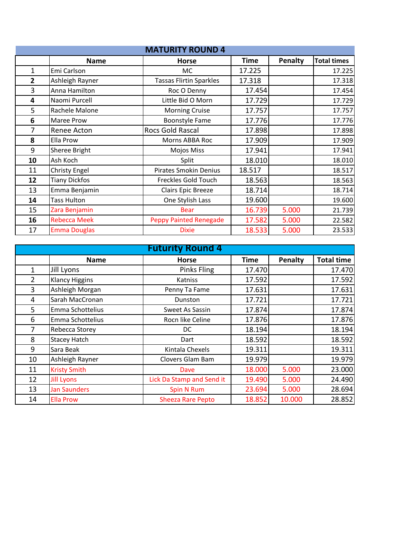| <b>MATURITY ROUND 4</b> |                      |                                |             |         |                    |
|-------------------------|----------------------|--------------------------------|-------------|---------|--------------------|
|                         | <b>Name</b>          | <b>Horse</b>                   | <b>Time</b> | Penalty | <b>Total times</b> |
| 1                       | Emi Carlson          | MC.                            | 17.225      |         | 17.225             |
| $\overline{2}$          | Ashleigh Rayner      | <b>Tassas Flirtin Sparkles</b> | 17.318      |         | 17.318             |
| 3                       | Anna Hamilton        | Roc O Denny                    | 17.454      |         | 17.454             |
| 4                       | Naomi Purcell        | Little Bid O Morn              | 17.729      |         | 17.729             |
| 5                       | Rachele Malone       | <b>Morning Cruise</b>          | 17.757      |         | 17.757             |
| 6                       | Maree Prow           | <b>Boonstyle Fame</b>          | 17.776      |         | 17.776             |
| 7                       | Renee Acton          | Rocs Gold Rascal               | 17.898      |         | 17.898             |
| 8                       | Ella Prow            | Morns ABBA Roc                 | 17.909      |         | 17.909             |
| 9                       | Sheree Bright        | <b>Mojos Miss</b>              | 17.941      |         | 17.941             |
| 10                      | Ash Koch             | Split                          | 18.010      |         | 18.010             |
| 11                      | <b>Christy Engel</b> | <b>Pirates Smokin Denius</b>   | 18.517      |         | 18.517             |
| 12                      | <b>Tiany Dickfos</b> | Freckles Gold Touch            | 18.563      |         | 18.563             |
| 13                      | Emma Benjamin        | Clairs Epic Breeze             | 18.714      |         | 18.714             |
| 14                      | Tass Hulton          | One Stylish Lass               | 19.600      |         | 19.600             |
| 15                      | Zara Benjamin        | <b>Bear</b>                    | 16.739      | 5.000   | 21.739             |
| 16                      | <b>Rebecca Meek</b>  | <b>Peppy Painted Renegade</b>  | 17.582      | 5.000   | 22.582             |
| 17                      | <b>Emma Douglas</b>  | <b>Dixie</b>                   | 18.533      | 5.000   | 23.533             |

| <b>Futurity Round 4</b> |                       |                           |        |         |                   |
|-------------------------|-----------------------|---------------------------|--------|---------|-------------------|
|                         | <b>Name</b>           | <b>Horse</b>              | Time   | Penalty | <b>Total time</b> |
| $\mathbf{1}$            | Jill Lyons            | <b>Pinks Fling</b>        | 17.470 |         | 17.470            |
| $\overline{2}$          | <b>Klancy Higgins</b> | Katniss                   | 17.592 |         | 17.592            |
| 3                       | Ashleigh Morgan       | Penny Ta Fame             | 17.631 |         | 17.631            |
| 4                       | Sarah MacCronan       | Dunston                   | 17.721 |         | 17.721            |
| 5                       | Emma Schottelius      | Sweet As Sassin           | 17.874 |         | 17.874            |
| 6                       | Emma Schottelius      | Rocn like Celine          | 17.876 |         | 17.876            |
| 7                       | Rebecca Storey        | DC.                       | 18.194 |         | 18.194            |
| 8                       | <b>Stacey Hatch</b>   | Dart                      | 18.592 |         | 18.592            |
| 9                       | Sara Beak             | Kintala Chexels           | 19.311 |         | 19.311            |
| 10                      | Ashleigh Rayner       | Clovers Glam Bam          | 19.979 |         | 19.979            |
| 11                      | <b>Kristy Smith</b>   | Dave                      | 18.000 | 5.000   | 23.000            |
| 12                      | <b>Jill Lyons</b>     | Lick Da Stamp and Send it | 19.490 | 5.000   | 24.490            |
| 13                      | <b>Jan Saunders</b>   | Spin N Rum                | 23.694 | 5.000   | 28.694            |
| 14                      | <b>Ella Prow</b>      | <b>Sheeza Rare Pepto</b>  | 18.852 | 10.000  | 28.852            |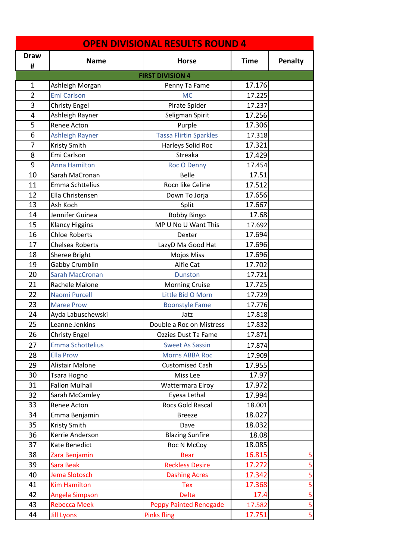| <b>OPEN DIVISIONAL RESULTS ROUND 4</b> |                         |                               |             |                |  |
|----------------------------------------|-------------------------|-------------------------------|-------------|----------------|--|
| <b>Draw</b><br>#                       | <b>Name</b>             | <b>Horse</b>                  | <b>Time</b> | <b>Penalty</b> |  |
|                                        |                         | <b>FIRST DIVISION 4</b>       |             |                |  |
| 1                                      | Ashleigh Morgan         | Penny Ta Fame                 | 17.176      |                |  |
| $\overline{2}$                         | <b>Emi Carlson</b>      | <b>MC</b>                     | 17.225      |                |  |
| 3                                      | <b>Christy Engel</b>    | Pirate Spider                 | 17.237      |                |  |
| 4                                      | Ashleigh Rayner         | Seligman Spirit               | 17.256      |                |  |
| 5                                      | Renee Acton             | Purple                        | 17.306      |                |  |
| 6                                      | Ashleigh Rayner         | <b>Tassa Flirtin Sparkles</b> | 17.318      |                |  |
| 7                                      | Kristy Smith            | Harleys Solid Roc             | 17.321      |                |  |
| 8                                      | Emi Carlson             | Streaka                       | 17.429      |                |  |
| 9                                      | <b>Anna Hamilton</b>    | <b>Roc O Denny</b>            | 17.454      |                |  |
| 10                                     | Sarah MaCronan          | <b>Belle</b>                  | 17.51       |                |  |
| 11                                     | Emma Schttelius         | Rocn like Celine              | 17.512      |                |  |
| 12                                     | Ella Christensen        | Down To Jorja                 | 17.656      |                |  |
| 13                                     | Ash Koch                | Split                         | 17.667      |                |  |
| 14                                     | Jennifer Guinea         | <b>Bobby Bingo</b>            | 17.68       |                |  |
| 15                                     | <b>Klancy Higgins</b>   | MP U No U Want This           | 17.692      |                |  |
| 16                                     | <b>Chloe Roberts</b>    | Dexter                        | 17.694      |                |  |
| 17                                     | <b>Chelsea Roberts</b>  | LazyD Ma Good Hat             | 17.696      |                |  |
| 18                                     | Sheree Bright           | Mojos Miss                    | 17.696      |                |  |
| 19                                     | Gabby Crumblin          | Alfie Cat                     | 17.702      |                |  |
| 20                                     | <b>Sarah MacCronan</b>  | <b>Dunston</b>                | 17.721      |                |  |
| 21                                     | Rachele Malone          | <b>Morning Cruise</b>         | 17.725      |                |  |
| 22                                     | Naomi Purcell           | Little Bid O Morn             | 17.729      |                |  |
| 23                                     | <b>Maree Prow</b>       | <b>Boonstyle Fame</b>         | 17.776      |                |  |
| 24                                     | Ayda Labuschewski       | Jatz                          | 17.818      |                |  |
| 25                                     | Leanne Jenkins          | Double a Roc on Mistress      | 17.832      |                |  |
| 26                                     | Christy Engel           | Ozzies Dust Ta Fame           | 17.871      |                |  |
| 27                                     | <b>Emma Schottelius</b> | <b>Sweet As Sassin</b>        | 17.874      |                |  |
| 28                                     | <b>Ella Prow</b>        | <b>Morns ABBA Roc</b>         | 17.909      |                |  |
| 29                                     | Alistair Malone         | <b>Customised Cash</b>        | 17.955      |                |  |
| 30                                     | Tsara Hogno             | Miss Lee                      | 17.97       |                |  |
| 31                                     | <b>Fallon Mulhall</b>   | Wattermara Elroy              | 17.972      |                |  |
| 32                                     | Sarah McCamley          | Eyesa Lethal                  | 17.994      |                |  |
| 33                                     | Renee Acton             | Rocs Gold Rascal              | 18.001      |                |  |
| 34                                     | Emma Benjamin           | <b>Breeze</b>                 | 18.027      |                |  |
| 35                                     | Kristy Smith            | Dave                          | 18.032      |                |  |
| 36                                     | Kerrie Anderson         | <b>Blazing Sunfire</b>        | 18.08       |                |  |
| 37                                     | Kate Benedict           | Roc N McCoy                   | 18.085      |                |  |
| 38                                     | Zara Benjamin           | <b>Bear</b>                   | 16.815      | 5              |  |
| 39                                     | Sara Beak               | <b>Reckless Desire</b>        | 17.272      | 5              |  |
| 40                                     | Jema Slotosch           | <b>Dashing Acres</b>          | 17.342      | 5              |  |
| 41                                     | <b>Kim Hamilton</b>     | <b>Tex</b>                    | 17.368      | 5              |  |
| 42                                     | Angela Simpson          | <b>Delta</b>                  | 17.4        | 5              |  |
| 43                                     | <b>Rebecca Meek</b>     | <b>Peppy Painted Renegade</b> | 17.582      | 5              |  |
| 44                                     | <b>Jill Lyons</b>       | <b>Pinks fling</b>            | 17.751      | 5              |  |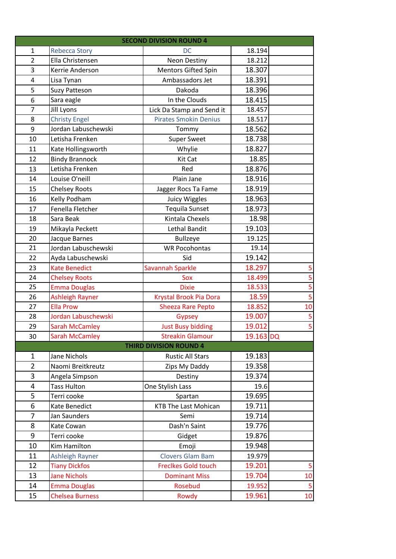| <b>SECOND DIVISION ROUND 4</b> |                        |                              |           |                         |  |
|--------------------------------|------------------------|------------------------------|-----------|-------------------------|--|
| 1                              | <b>Rebecca Story</b>   | <b>DC</b>                    | 18.194    |                         |  |
| $\overline{2}$                 | Ella Christensen       | <b>Neon Destiny</b>          | 18.212    |                         |  |
| 3                              | Kerrie Anderson        | Mentors Gifted Spin          | 18.307    |                         |  |
| 4                              | Lisa Tynan             | Ambassadors Jet              | 18.391    |                         |  |
| 5                              | <b>Suzy Patteson</b>   | Dakoda                       | 18.396    |                         |  |
| 6                              | Sara eagle             | In the Clouds                | 18.415    |                         |  |
| $\overline{7}$                 | Jill Lyons             | Lick Da Stamp and Send it    | 18.457    |                         |  |
| 8                              | <b>Christy Engel</b>   | <b>Pirates Smokin Denius</b> | 18.517    |                         |  |
| 9                              | Jordan Labuschewski    | Tommy                        | 18.562    |                         |  |
| 10                             | Letisha Frenken        | <b>Super Sweet</b>           | 18.738    |                         |  |
| 11                             | Kate Hollingsworth     | Whylie                       | 18.827    |                         |  |
| 12                             | <b>Bindy Brannock</b>  | Kit Cat                      | 18.85     |                         |  |
| 13                             | Letisha Frenken        | Red                          | 18.876    |                         |  |
| 14                             | Louise O'neill         | Plain Jane                   | 18.916    |                         |  |
| 15                             | <b>Chelsey Roots</b>   | Jagger Rocs Ta Fame          | 18.919    |                         |  |
| 16                             | Kelly Podham           | <b>Juicy Wiggles</b>         | 18.963    |                         |  |
| 17                             | Fenella Fletcher       | <b>Tequila Sunset</b>        | 18.973    |                         |  |
| 18                             | Sara Beak              | Kintala Chexels              | 18.98     |                         |  |
| 19                             | Mikayla Peckett        | Lethal Bandit                | 19.103    |                         |  |
| 20                             | Jacque Barnes          | <b>Bullzeye</b>              | 19.125    |                         |  |
| 21                             | Jordan Labuschewski    | <b>WR Pocohontas</b>         | 19.14     |                         |  |
| 22                             | Ayda Labuschewski      | Sid                          | 19.142    |                         |  |
| 23                             | <b>Kate Benedict</b>   | Savannah Sparkle             | 18.297    | 5                       |  |
| 24                             | <b>Chelsey Roots</b>   | Sox                          | 18.499    | 5                       |  |
| 25                             | <b>Emma Douglas</b>    | <b>Dixie</b>                 | 18.533    | $\overline{\mathbf{5}}$ |  |
| 26                             | <b>Ashleigh Rayner</b> | Krystal Brook Pia Dora       | 18.59     | 5                       |  |
| 27                             | <b>Ella Prow</b>       | <b>Sheeza Rare Pepto</b>     | 18.852    | 10                      |  |
| 28                             | Jordan Labuschewski    | Gypsey                       | 19.007    | 5                       |  |
| 29                             | <b>Sarah McCamley</b>  | <b>Just Busy bidding</b>     | 19.012    | 5                       |  |
| 30                             | <b>Sarah McCamley</b>  | <b>Streakin Glamour</b>      | 19.163 DQ |                         |  |
| <b>THIRD DIVISION ROUND 4</b>  |                        |                              |           |                         |  |
| $\mathbf{1}$                   | Jane Nichols           | <b>Rustic All Stars</b>      | 19.183    |                         |  |
| $\overline{2}$                 | Naomi Breitkreutz      | Zips My Daddy                | 19.358    |                         |  |
| 3                              | Angela Simpson         | Destiny                      | 19.374    |                         |  |
| 4                              | <b>Tass Hulton</b>     | One Stylish Lass             | 19.6      |                         |  |
| 5                              | Terri cooke            | Spartan                      | 19.695    |                         |  |
| 6                              | Kate Benedict          | <b>KTB The Last Mohican</b>  | 19.711    |                         |  |
| $\overline{7}$                 | Jan Saunders           | Semi                         | 19.714    |                         |  |
| 8                              | Kate Cowan             | Dash'n Saint                 | 19.776    |                         |  |
| 9                              | Terri cooke            | Gidget                       | 19.876    |                         |  |
| 10                             | Kim Hamilton           | Emoji                        | 19.948    |                         |  |
| 11                             | <b>Ashleigh Rayner</b> | <b>Clovers Glam Bam</b>      | 19.979    |                         |  |
| 12                             | <b>Tiany Dickfos</b>   | <b>Freclkes Gold touch</b>   | 19.201    | 5                       |  |
| 13                             | <b>Jane Nichols</b>    | <b>Dominant Miss</b>         | 19.704    | 10                      |  |
| 14                             | <b>Emma Douglas</b>    | Rosebud                      | 19.952    | $\overline{\mathbf{5}}$ |  |
| 15                             | <b>Chelsea Burness</b> | Rowdy                        | 19.961    | $10\,$                  |  |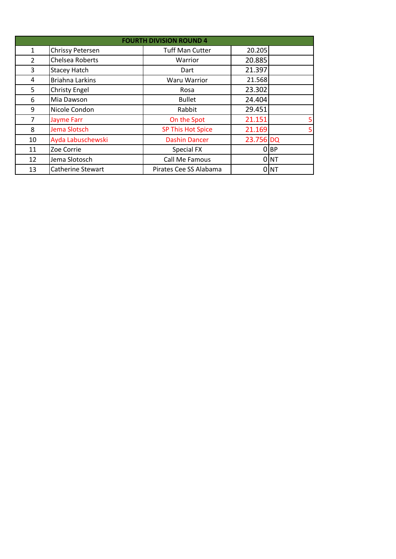| <b>FOURTH DIVISION ROUND 4</b> |                        |                          |           |                  |  |
|--------------------------------|------------------------|--------------------------|-----------|------------------|--|
| $\mathbf{1}$                   | Chrissy Petersen       | <b>Tuff Man Cutter</b>   | 20.205    |                  |  |
| $\overline{2}$                 | Chelsea Roberts        | Warrior                  | 20.885    |                  |  |
| 3                              | <b>Stacey Hatch</b>    | Dart                     | 21.397    |                  |  |
| 4                              | <b>Briahna Larkins</b> | <b>Waru Warrior</b>      | 21.568    |                  |  |
| 5                              | <b>Christy Engel</b>   | Rosa                     | 23.302    |                  |  |
| 6                              | Mia Dawson             | <b>Bullet</b>            | 24.404    |                  |  |
| 9                              | Nicole Condon          | Rabbit                   | 29.451    |                  |  |
| 7                              | <b>Jayme Farr</b>      | On the Spot              | 21.151    | 5                |  |
| 8                              | Jema Slotsch           | <b>SP This Hot Spice</b> | 21.169    | 5 <sub>l</sub>   |  |
| 10                             | Ayda Labuschewski      | <b>Dashin Dancer</b>     | 23.756 DQ |                  |  |
| 11                             | Zoe Corrie             | Special FX               |           | $O$ $BP$         |  |
| 12                             | Jema Slotosch          | Call Me Famous           |           | 0 NT             |  |
| 13                             | Catherine Stewart      | Pirates Cee SS Alabama   |           | 0 <sup>INT</sup> |  |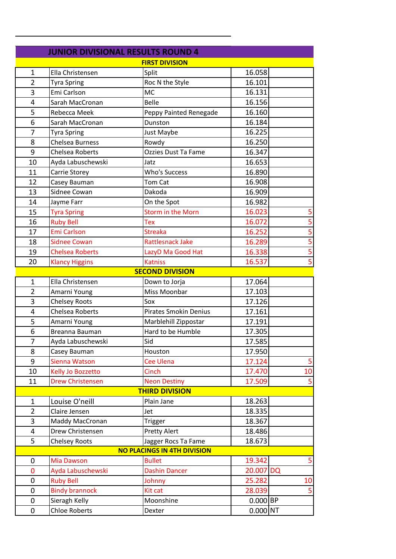| <b>JUNIOR DIVISIONAL RESULTS ROUND 4</b> |                         |                              |                       |                             |  |
|------------------------------------------|-------------------------|------------------------------|-----------------------|-----------------------------|--|
| <b>FIRST DIVISION</b>                    |                         |                              |                       |                             |  |
| $\mathbf{1}$                             | Ella Christensen        | Split                        | 16.058                |                             |  |
| $\overline{2}$                           | <b>Tyra Spring</b>      | Roc N the Style              | 16.101                |                             |  |
| 3                                        | Emi Carlson             | <b>MC</b>                    | 16.131                |                             |  |
| 4                                        | Sarah MacCronan         | <b>Belle</b>                 | 16.156                |                             |  |
| 5                                        | Rebecca Meek            | Peppy Painted Renegade       | 16.160                |                             |  |
| 6                                        | Sarah MacCronan         | Dunston                      | 16.184                |                             |  |
| 7                                        | <b>Tyra Spring</b>      | Just Maybe                   | 16.225                |                             |  |
| 8                                        | <b>Chelsea Burness</b>  | Rowdy                        | 16.250                |                             |  |
| 9                                        | <b>Chelsea Roberts</b>  | Ozzies Dust Ta Fame          | 16.347                |                             |  |
| 10                                       | Ayda Labuschewski       | Jatz                         | 16.653                |                             |  |
| 11                                       | Carrie Storey           | <b>Who's Success</b>         | 16.890                |                             |  |
| 12                                       | Casey Bauman            | Tom Cat                      | 16.908                |                             |  |
| 13                                       | Sidnee Cowan            | Dakoda                       | 16.909                |                             |  |
| 14                                       | Jayme Farr              | On the Spot                  | 16.982                |                             |  |
| 15                                       | <b>Tyra Spring</b>      | Storm in the Morn            | 16.023                | 5                           |  |
| 16                                       | <b>Ruby Bell</b>        | <b>Tex</b>                   | 16.072                | $\frac{5}{5}$ $\frac{5}{5}$ |  |
| 17                                       | <b>Emi Carlson</b>      | <b>Streaka</b>               | 16.252                |                             |  |
| 18                                       | <b>Sidnee Cowan</b>     | <b>Rattlesnack Jake</b>      | 16.289                |                             |  |
| 19                                       | <b>Chelsea Roberts</b>  | LazyD Ma Good Hat            | 16.338                |                             |  |
| 20                                       | <b>Klancy Higgins</b>   | <b>Katniss</b>               | 16.537                | $\overline{5}$              |  |
|                                          |                         | <b>SECOND DIVISION</b>       |                       |                             |  |
| $\mathbf{1}$                             | Ella Christensen        | Down to Jorja                | 17.064                |                             |  |
| $\overline{2}$                           | Amarni Young            | Miss Moonbar                 | 17.103                |                             |  |
| 3                                        | <b>Chelsey Roots</b>    | Sox                          | 17.126                |                             |  |
| 4                                        | Chelsea Roberts         | <b>Pirates Smokin Denius</b> | 17.161                |                             |  |
| 5                                        | Amarni Young            | Marblehill Zippostar         | 17.191                |                             |  |
| 6                                        | Breanna Bauman          | Hard to be Humble            | 17.305                |                             |  |
| $\overline{7}$                           | Ayda Labuschewski       | Sid                          | 17.585                |                             |  |
| 8                                        | Casey Bauman            | Houston                      | 17.950                |                             |  |
| 9                                        | Sienna Watson           | <b>Cee Ulena</b>             | 17.124                | 5                           |  |
| 10                                       | Kelly Jo Bozzetto       | Cinch                        | 17.470                | 10                          |  |
| 11                                       | <b>Drew Christensen</b> | <b>Neon Destiny</b>          | 17.509                | 5                           |  |
|                                          |                         | <b>THIRD DIVISION</b>        |                       |                             |  |
| $\mathbf{1}$                             | Louise O'neill          | Plain Jane                   | 18.263                |                             |  |
| $\overline{2}$                           | Claire Jensen           | Jet                          | 18.335                |                             |  |
| 3                                        | Maddy MacCronan         | <b>Trigger</b>               | 18.367                |                             |  |
| 4                                        | Drew Christensen        | <b>Pretty Alert</b>          | 18.486                |                             |  |
| 5                                        | <b>Chelsey Roots</b>    | Jagger Rocs Ta Fame          | 18.673                |                             |  |
| <b>NO PLACINGS IN 4TH DIVISION</b>       |                         |                              |                       |                             |  |
| 0                                        | <b>Mia Dawson</b>       | <b>Bullet</b>                | 19.342                | 5                           |  |
| 0                                        | Ayda Labuschewski       | <b>Dashin Dancer</b>         | 20.007 DQ             |                             |  |
| 0                                        | <b>Ruby Bell</b>        | Johnny                       | 25.282                | 10                          |  |
| $\pmb{0}$                                | <b>Bindy brannock</b>   | Kit cat                      | 28.039                | 5                           |  |
| 0                                        | Sieragh Kelly           | Moonshine                    | $0.000$ BP            |                             |  |
| 0                                        | <b>Chloe Roberts</b>    | Dexter                       | $0.000$ <sub>NT</sub> |                             |  |